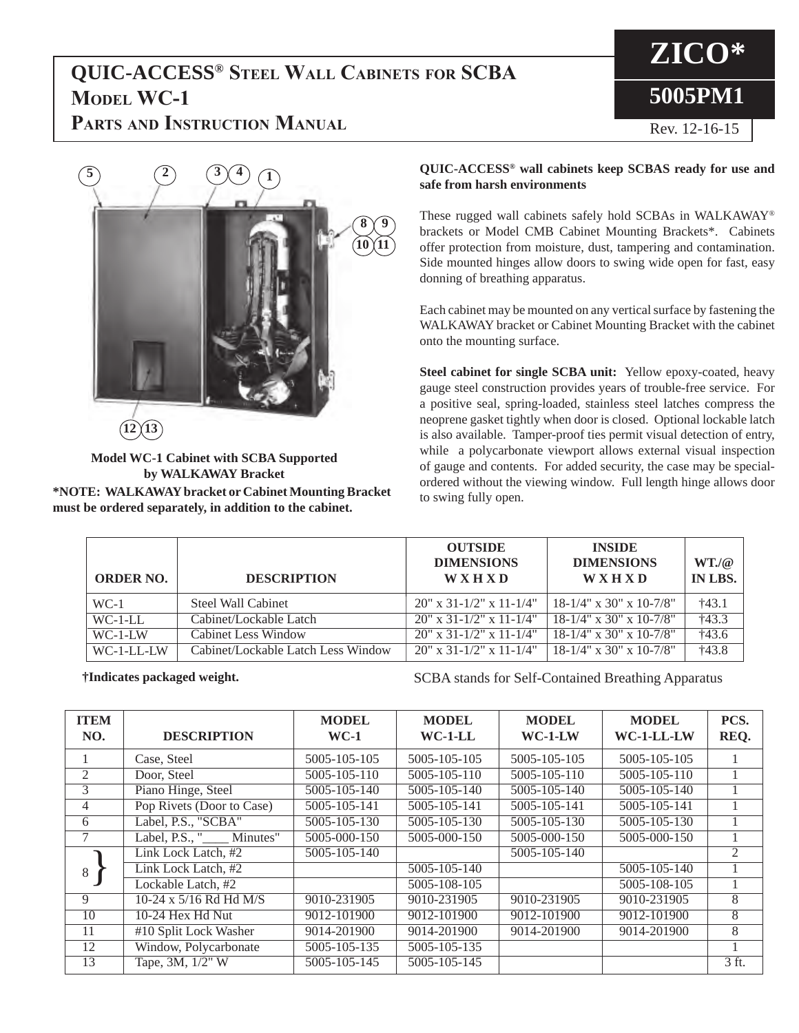## **QUIC-ACCESS® Steel Wall Cabinets for SCBA MODEL WC-1**



**PARTS AND INSTRUCTION MANUAL** Rev. 12-16-15



**Model WC-1 Cabinet with SCBA Supported by WALKAWAY Bracket \*NOTE: WALKAWAY bracket or Cabinet Mounting Bracket must be ordered separately, in addition to the cabinet.**

## **QUIC-ACCESS® wall cabinets keep SCBAS ready for use and safe from harsh environments**

These rugged wall cabinets safely hold SCBAs in WALKAWAY® brackets or Model CMB Cabinet Mounting Brackets\*. Cabinets offer protection from moisture, dust, tampering and contamination. Side mounted hinges allow doors to swing wide open for fast, easy donning of breathing apparatus.

Each cabinet may be mounted on any vertical surface by fastening the WALKAWAY bracket or Cabinet Mounting Bracket with the cabinet onto the mounting surface.

**Steel cabinet for single SCBA unit:** Yellow epoxy-coated, heavy gauge steel construction provides years of trouble-free service. For a positive seal, spring-loaded, stainless steel latches compress the neoprene gasket tightly when door is closed. Optional lockable latch is also available. Tamper-proof ties permit visual detection of entry, while a polycarbonate viewport allows external visual inspection of gauge and contents. For added security, the case may be specialordered without the viewing window. Full length hinge allows door to swing fully open.

| <b>ORDER NO.</b> | <b>DESCRIPTION</b>                 | <b>OUTSIDE</b><br><b>DIMENSIONS</b><br><b>WXHXD</b> | <b>INSIDE</b><br><b>DIMENSIONS</b><br><b>WXHXD</b> | $WT_{\alpha}(\mathcal{Q})$<br>IN LBS. |
|------------------|------------------------------------|-----------------------------------------------------|----------------------------------------------------|---------------------------------------|
| $WC-1$           | Steel Wall Cabinet                 | $20''$ x 31-1/2" x 11-1/4"                          | $18-1/4$ " x 30" x 10-7/8"                         | $+43.1$                               |
| $WC-1-LL$        | Cabinet/Lockable Latch             | $20''$ x 31-1/2" x 11-1/4"                          | $18-1/4$ " x 30" x 10-7/8"                         | $+43.3$                               |
| $WC-1-I$ W       | Cabinet Less Window                | $20''$ x 31-1/2" x 11-1/4"                          | $18-1/4$ " x 30" x 10-7/8"                         | †43.6                                 |
| WC-1-LL-LW       | Cabinet/Lockable Latch Less Window | $20''$ x 31-1/2" x 11-1/4"                          | $18-1/4$ " x 30" x 10-7/8"                         | $+43.8$                               |

**†Indicates packaged weight.** SCBA stands for Self-Contained Breathing Apparatus

| <b>ITEM</b><br>NO. | <b>DESCRIPTION</b>        | <b>MODEL</b><br>$WC-1$ | <b>MODEL</b><br>$WC-1-LL$ | <b>MODEL</b><br>$WC-1-LW$ | <b>MODEL</b><br>WC-1-LL-LW | PCS.<br>REQ.   |
|--------------------|---------------------------|------------------------|---------------------------|---------------------------|----------------------------|----------------|
|                    | Case, Steel               | 5005-105-105           | 5005-105-105              | 5005-105-105              | 5005-105-105               |                |
| 2                  | Door, Steel               | 5005-105-110           | 5005-105-110              | 5005-105-110              | 5005-105-110               |                |
| 3                  | Piano Hinge, Steel        | 5005-105-140           | 5005-105-140              | 5005-105-140              | 5005-105-140               |                |
| 4                  | Pop Rivets (Door to Case) | 5005-105-141           | 5005-105-141              | 5005-105-141              | 5005-105-141               |                |
| 6                  | Label, P.S., "SCBA"       | 5005-105-130           | 5005-105-130              | 5005-105-130              | 5005-105-130               |                |
|                    | Label, P.S., " Minutes"   | 5005-000-150           | 5005-000-150              | 5005-000-150              | 5005-000-150               |                |
|                    | Link Lock Latch, #2       | 5005-105-140           |                           | 5005-105-140              |                            | $\mathfrak{D}$ |
| 8                  | Link Lock Latch, #2       |                        | 5005-105-140              |                           | 5005-105-140               |                |
|                    | Lockable Latch, #2        |                        | 5005-108-105              |                           | 5005-108-105               |                |
| 9                  | 10-24 x 5/16 Rd Hd M/S    | 9010-231905            | 9010-231905               | 9010-231905               | 9010-231905                | 8              |
| 10                 | 10-24 Hex Hd Nut          | 9012-101900            | 9012-101900               | 9012-101900               | 9012-101900                | 8              |
| 11                 | #10 Split Lock Washer     | 9014-201900            | 9014-201900               | 9014-201900               | 9014-201900                | 8              |
| 12                 | Window, Polycarbonate     | 5005-105-135           | 5005-105-135              |                           |                            |                |
| 13                 | Tape, 3M, 1/2" W          | 5005-105-145           | 5005-105-145              |                           |                            | 3 ft.          |